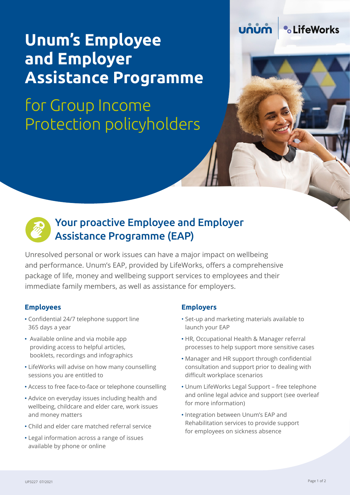# **Unum's Employee and Employer Assistance Programme**

# for Group Income Protection policyholders





## Your proactive Employee and Employer Assistance Programme (EAP)

immediate family members, as well as assistance for employers. Unresolved personal or work issues can have a major impact on wellbeing and performance. Unum's EAP, provided by LifeWorks, offers a comprehensive package of life, money and wellbeing support services to employees and their

#### **Employees**

- Confidential 24/7 telephone support line 365 days a year
- Available online and via mobile app providing access to helpful articles, booklets, recordings and infographics
- LifeWorks will advise on how many counselling sessions you are entitled to
- Access to free face-to-face or telephone counselling
- Advice on everyday issues including health and wellbeing, childcare and elder care, work issues and money matters
- Child and elder care matched referral service
- Legal information across a range of issues available by phone or online

#### **Employers**

- Set-up and marketing materials available to launch your EAP
- HR, Occupational Health & Manager referral processes to help support more sensitive cases
- Manager and HR support through confidential consultation and support prior to dealing with difficult workplace scenarios
- Unum LifeWorks Legal Support free telephone and online legal advice and support (see overleaf for more information)
- Integration between Unum's EAP and Rehabilitation services to provide support for employees on sickness absence